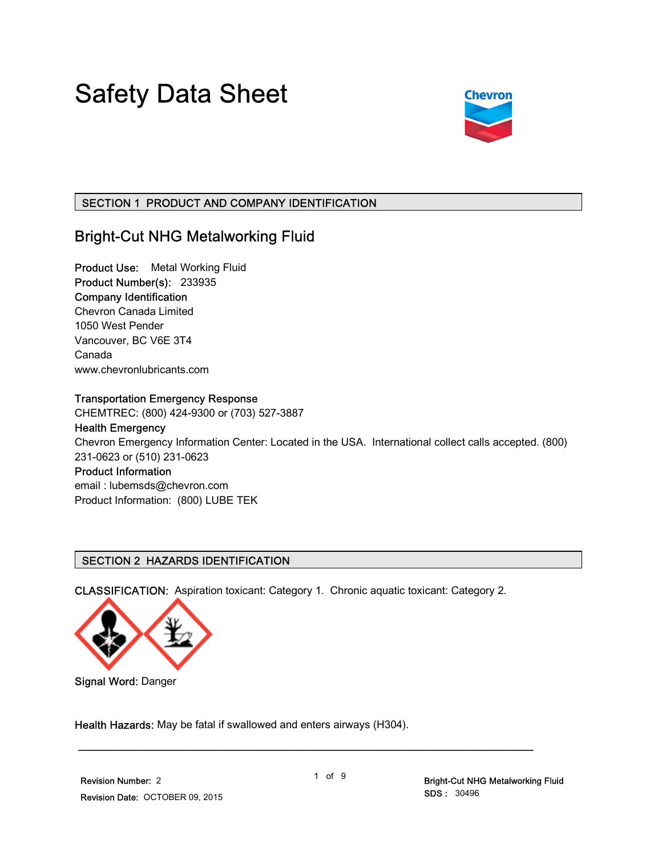# Safety Data Sheet



# SECTION 1 PRODUCT AND COMPANY IDENTIFICATION

# Bright-Cut NHG Metalworking Fluid

Product Use: Metal Working Fluid Product Number(s): 233935 Company Identification Chevron Canada Limited 1050 West Pender Vancouver, BC V6E 3T4 Canada www.chevronlubricants.com

#### Transportation Emergency Response

CHEMTREC: (800) 424-9300 or (703) 527-3887

## Health Emergency

Chevron Emergency Information Center: Located in the USA. International collect calls accepted. (800) 231-0623 or (510) 231-0623

# Product Information

email : lubemsds@chevron.com Product Information: (800) LUBE TEK

#### SECTION 2 HAZARDS IDENTIFICATION

CLASSIFICATION: Aspiration toxicant: Category 1. Chronic aquatic toxicant: Category 2.



Signal Word: Danger

Health Hazards: May be fatal if swallowed and enters airways (H304).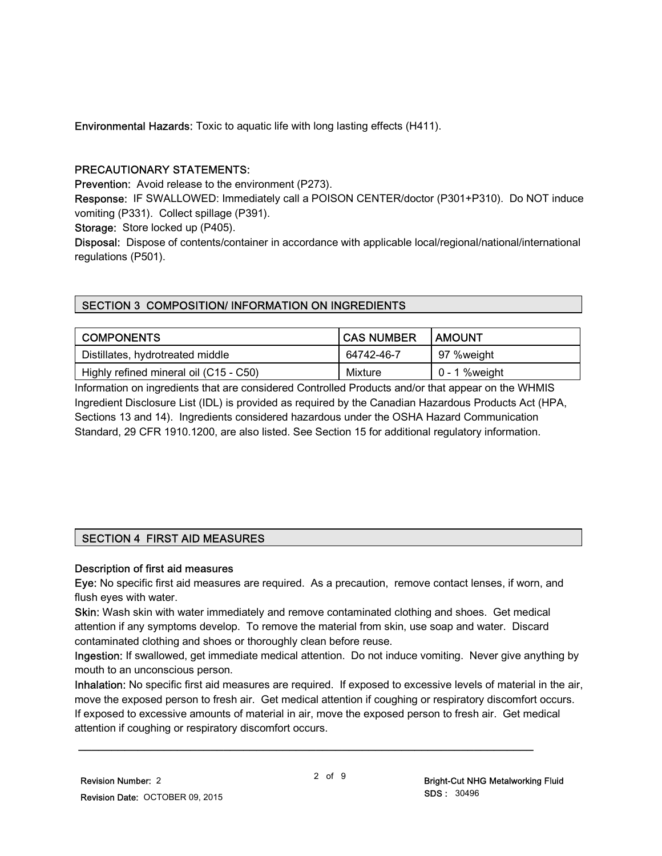Environmental Hazards: Toxic to aquatic life with long lasting effects (H411).

## PRECAUTIONARY STATEMENTS:

Prevention: Avoid release to the environment (P273).

Response: IF SWALLOWED: Immediately call a POISON CENTER/doctor (P301+P310). Do NOT induce vomiting (P331). Collect spillage (P391).

Storage: Store locked up (P405).

Disposal: Dispose of contents/container in accordance with applicable local/regional/national/international regulations (P501).

# SECTION 3 COMPOSITION/ INFORMATION ON INGREDIENTS

| <b>COMPONENTS</b>                      | <b>CAS NUMBER</b> | <b>LAMOUNT</b>   |
|----------------------------------------|-------------------|------------------|
| Distillates, hydrotreated middle       | 64742-46-7        | 97 %weight       |
| Highly refined mineral oil (C15 - C50) | Mixture           | $0 - 1$ % weight |

Information on ingredients that are considered Controlled Products and/or that appear on the WHMIS Ingredient Disclosure List (IDL) is provided as required by the Canadian Hazardous Products Act (HPA, Sections 13 and 14). Ingredients considered hazardous under the OSHA Hazard Communication Standard, 29 CFR 1910.1200, are also listed. See Section 15 for additional regulatory information.

# SECTION 4 FIRST AID MEASURES

#### Description of first aid measures

Eye: No specific first aid measures are required. As a precaution, remove contact lenses, if worn, and flush eyes with water.

Skin: Wash skin with water immediately and remove contaminated clothing and shoes. Get medical attention if any symptoms develop. To remove the material from skin, use soap and water. Discard contaminated clothing and shoes or thoroughly clean before reuse.

Ingestion: If swallowed, get immediate medical attention. Do not induce vomiting. Never give anything by mouth to an unconscious person.

Inhalation: No specific first aid measures are required. If exposed to excessive levels of material in the air, move the exposed person to fresh air. Get medical attention if coughing or respiratory discomfort occurs. If exposed to excessive amounts of material in air, move the exposed person to fresh air. Get medical attention if coughing or respiratory discomfort occurs.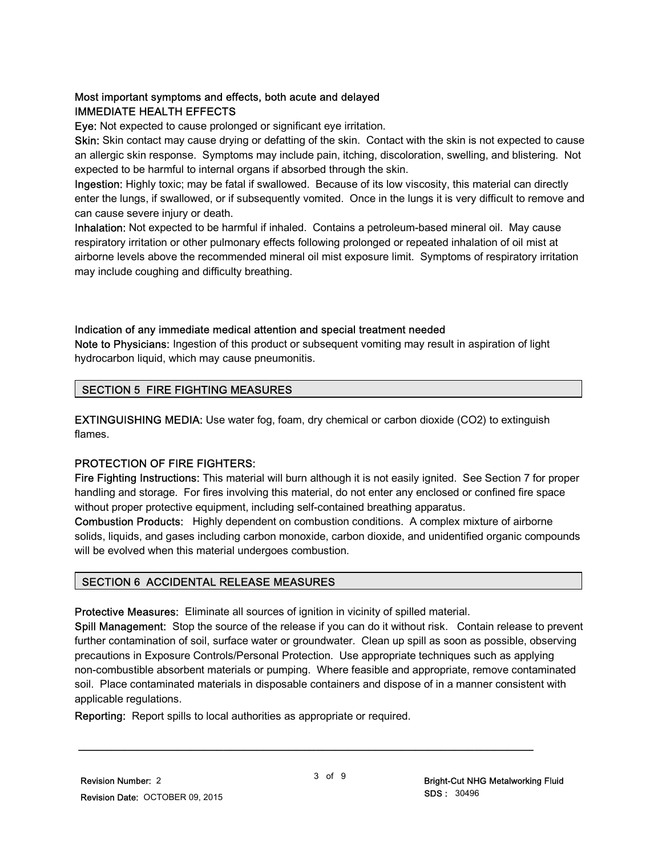# Most important symptoms and effects, both acute and delayed IMMEDIATE HEALTH EFFECTS

Eye: Not expected to cause prolonged or significant eye irritation.

Skin: Skin contact may cause drying or defatting of the skin. Contact with the skin is not expected to cause an allergic skin response. Symptoms may include pain, itching, discoloration, swelling, and blistering. Not expected to be harmful to internal organs if absorbed through the skin.

Ingestion: Highly toxic; may be fatal if swallowed. Because of its low viscosity, this material can directly enter the lungs, if swallowed, or if subsequently vomited. Once in the lungs it is very difficult to remove and can cause severe injury or death.

Inhalation: Not expected to be harmful if inhaled. Contains a petroleum-based mineral oil. May cause respiratory irritation or other pulmonary effects following prolonged or repeated inhalation of oil mist at airborne levels above the recommended mineral oil mist exposure limit. Symptoms of respiratory irritation may include coughing and difficulty breathing.

#### Indication of any immediate medical attention and special treatment needed

Note to Physicians: Ingestion of this product or subsequent vomiting may result in aspiration of light hydrocarbon liquid, which may cause pneumonitis.

#### SECTION 5 FIRE FIGHTING MEASURES

EXTINGUISHING MEDIA: Use water fog, foam, dry chemical or carbon dioxide (CO2) to extinguish flames.

#### PROTECTION OF FIRE FIGHTERS:

Fire Fighting Instructions: This material will burn although it is not easily ignited. See Section 7 for proper handling and storage. For fires involving this material, do not enter any enclosed or confined fire space without proper protective equipment, including self-contained breathing apparatus.

Combustion Products: Highly dependent on combustion conditions. A complex mixture of airborne solids, liquids, and gases including carbon monoxide, carbon dioxide, and unidentified organic compounds will be evolved when this material undergoes combustion.

#### SECTION 6 ACCIDENTAL RELEASE MEASURES

Protective Measures: Eliminate all sources of ignition in vicinity of spilled material.

Spill Management: Stop the source of the release if you can do it without risk. Contain release to prevent further contamination of soil, surface water or groundwater. Clean up spill as soon as possible, observing precautions in Exposure Controls/Personal Protection. Use appropriate techniques such as applying non-combustible absorbent materials or pumping. Where feasible and appropriate, remove contaminated soil. Place contaminated materials in disposable containers and dispose of in a manner consistent with applicable regulations.

Reporting: Report spills to local authorities as appropriate or required.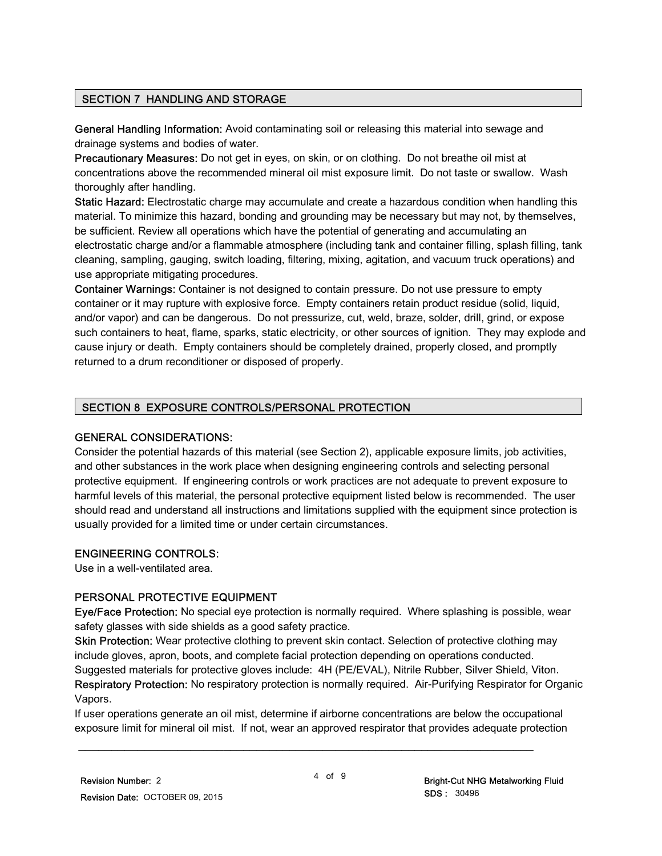#### SECTION 7 HANDLING AND STORAGE

General Handling Information: Avoid contaminating soil or releasing this material into sewage and drainage systems and bodies of water.

Precautionary Measures: Do not get in eyes, on skin, or on clothing. Do not breathe oil mist at concentrations above the recommended mineral oil mist exposure limit. Do not taste or swallow. Wash thoroughly after handling.

Static Hazard: Electrostatic charge may accumulate and create a hazardous condition when handling this material. To minimize this hazard, bonding and grounding may be necessary but may not, by themselves, be sufficient. Review all operations which have the potential of generating and accumulating an electrostatic charge and/or a flammable atmosphere (including tank and container filling, splash filling, tank cleaning, sampling, gauging, switch loading, filtering, mixing, agitation, and vacuum truck operations) and use appropriate mitigating procedures.

Container Warnings: Container is not designed to contain pressure. Do not use pressure to empty container or it may rupture with explosive force. Empty containers retain product residue (solid, liquid, and/or vapor) and can be dangerous. Do not pressurize, cut, weld, braze, solder, drill, grind, or expose such containers to heat, flame, sparks, static electricity, or other sources of ignition. They may explode and cause injury or death. Empty containers should be completely drained, properly closed, and promptly returned to a drum reconditioner or disposed of properly.

# SECTION 8 EXPOSURE CONTROLS/PERSONAL PROTECTION

#### GENERAL CONSIDERATIONS:

Consider the potential hazards of this material (see Section 2), applicable exposure limits, job activities, and other substances in the work place when designing engineering controls and selecting personal protective equipment. If engineering controls or work practices are not adequate to prevent exposure to harmful levels of this material, the personal protective equipment listed below is recommended. The user should read and understand all instructions and limitations supplied with the equipment since protection is usually provided for a limited time or under certain circumstances.

#### ENGINEERING CONTROLS:

Use in a well-ventilated area.

#### PERSONAL PROTECTIVE EQUIPMENT

Eye/Face Protection: No special eye protection is normally required. Where splashing is possible, wear safety glasses with side shields as a good safety practice.

Skin Protection: Wear protective clothing to prevent skin contact. Selection of protective clothing may include gloves, apron, boots, and complete facial protection depending on operations conducted. Suggested materials for protective gloves include: 4H (PE/EVAL), Nitrile Rubber, Silver Shield, Viton.

Respiratory Protection: No respiratory protection is normally required. Air-Purifying Respirator for Organic Vapors.

If user operations generate an oil mist, determine if airborne concentrations are below the occupational exposure limit for mineral oil mist. If not, wear an approved respirator that provides adequate protection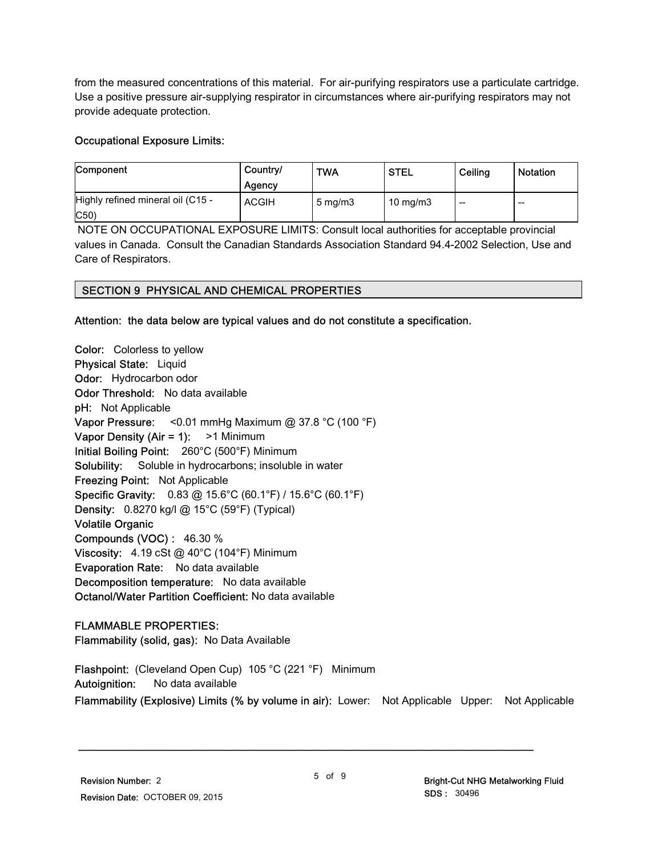from the measured concentrations of this material. For air-purifying respirators use a particulate cartridge. Use a positive pressure air-supplying respirator in circumstances where air-purifying respirators may not provide adequate protection.

#### Occupational Exposure Limits:

| Component                         | Country/<br>Agency | <b>TWA</b>       | <b>STEL</b>       | Ceiling | <b>Notation</b> |
|-----------------------------------|--------------------|------------------|-------------------|---------|-----------------|
| Highly refined mineral oil (C15 - | <b>ACGIH</b>       | $5 \text{ mg/m}$ | $10 \text{ mg/m}$ | $- -$   | $-$             |
| $ C50\rangle$                     |                    |                  |                   |         |                 |

 NOTE ON OCCUPATIONAL EXPOSURE LIMITS: Consult local authorities for acceptable provincial values in Canada. Consult the Canadian Standards Association Standard 94.4-2002 Selection, Use and Care of Respirators.

#### SECTION 9 PHYSICAL AND CHEMICAL PROPERTIES

Attention: the data below are typical values and do not constitute a specification.

Color: Colorless to yellow Physical State: Liquid Odor: Hydrocarbon odor Odor Threshold: No data available pH: Not Applicable Vapor Pressure: < 0.01 mmHg Maximum @ 37.8 °C (100 °F) Vapor Density (Air = 1): > 1 Minimum Initial Boiling Point: 260°C (500°F) Minimum Solubility: Soluble in hydrocarbons; insoluble in water Freezing Point: Not Applicable Specific Gravity: 0.83 @ 15.6°C (60.1°F) / 15.6°C (60.1°F) Density: 0.8270 kg/l @ 15°C (59°F) (Typical) Volatile Organic Compounds (VOC) : 46.30 % Viscosity: 4.19 cSt @ 40°C (104°F) Minimum Evaporation Rate: No data available Decomposition temperature: No data available Octanol/Water Partition Coefficient: No data available

#### FLAMMABLE PROPERTIES:

Flammability (solid, gas): No Data Available

Flashpoint: (Cleveland Open Cup) 105 °C (221 °F) Minimum Autoignition: No data available Flammability (Explosive) Limits (% by volume in air): Lower: Not Applicable Upper: Not Applicable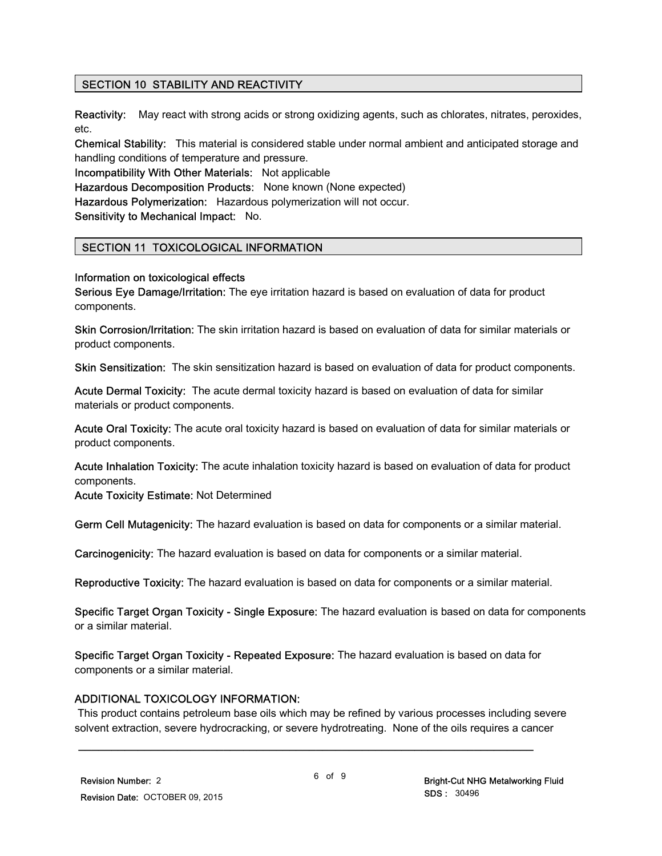#### SECTION 10 STABILITY AND REACTIVITY

Reactivity: May react with strong acids or strong oxidizing agents, such as chlorates, nitrates, peroxides, etc.

Chemical Stability: This material is considered stable under normal ambient and anticipated storage and handling conditions of temperature and pressure.

Incompatibility With Other Materials: Not applicable

Hazardous Decomposition Products: None known (None expected)

Hazardous Polymerization: Hazardous polymerization will not occur.

Sensitivity to Mechanical Impact: No.

# SECTION 11 TOXICOLOGICAL INFORMATION

#### Information on toxicological effects

Serious Eye Damage/Irritation: The eye irritation hazard is based on evaluation of data for product components.

Skin Corrosion/Irritation: The skin irritation hazard is based on evaluation of data for similar materials or product components.

Skin Sensitization: The skin sensitization hazard is based on evaluation of data for product components.

Acute Dermal Toxicity: The acute dermal toxicity hazard is based on evaluation of data for similar materials or product components.

Acute Oral Toxicity: The acute oral toxicity hazard is based on evaluation of data for similar materials or product components.

Acute Inhalation Toxicity: The acute inhalation toxicity hazard is based on evaluation of data for product components.

Acute Toxicity Estimate: Not Determined

Germ Cell Mutagenicity: The hazard evaluation is based on data for components or a similar material.

Carcinogenicity: The hazard evaluation is based on data for components or a similar material.

Reproductive Toxicity: The hazard evaluation is based on data for components or a similar material.

Specific Target Organ Toxicity - Single Exposure: The hazard evaluation is based on data for components or a similar material.

Specific Target Organ Toxicity - Repeated Exposure: The hazard evaluation is based on data for components or a similar material.

\_\_\_\_\_\_\_\_\_\_\_\_\_\_\_\_\_\_\_\_\_\_\_\_\_\_\_\_\_\_\_\_\_\_\_\_\_\_\_\_\_\_\_\_\_\_\_\_\_\_\_\_\_\_\_\_\_\_\_\_\_\_\_\_\_\_\_\_\_

#### ADDITIONAL TOXICOLOGY INFORMATION:

 This product contains petroleum base oils which may be refined by various processes including severe solvent extraction, severe hydrocracking, or severe hydrotreating. None of the oils requires a cancer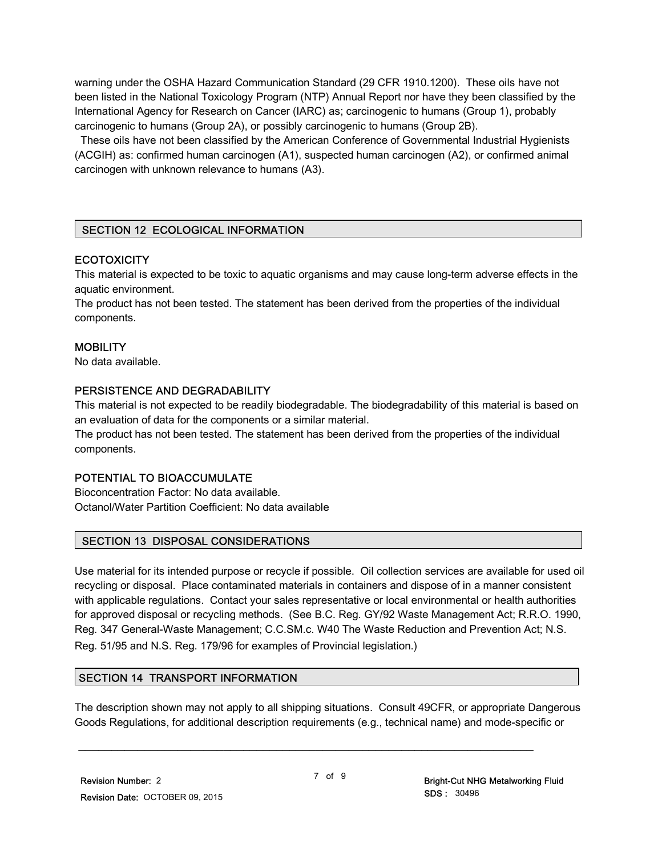warning under the OSHA Hazard Communication Standard (29 CFR 1910.1200). These oils have not been listed in the National Toxicology Program (NTP) Annual Report nor have they been classified by the International Agency for Research on Cancer (IARC) as; carcinogenic to humans (Group 1), probably carcinogenic to humans (Group 2A), or possibly carcinogenic to humans (Group 2B).

 These oils have not been classified by the American Conference of Governmental Industrial Hygienists (ACGIH) as: confirmed human carcinogen (A1), suspected human carcinogen (A2), or confirmed animal carcinogen with unknown relevance to humans (A3).

# SECTION 12 ECOLOGICAL INFORMATION

#### **ECOTOXICITY**

This material is expected to be toxic to aquatic organisms and may cause long-term adverse effects in the aquatic environment.

The product has not been tested. The statement has been derived from the properties of the individual components.

#### **MOBILITY**

No data available.

#### PERSISTENCE AND DEGRADABILITY

This material is not expected to be readily biodegradable. The biodegradability of this material is based on an evaluation of data for the components or a similar material.

The product has not been tested. The statement has been derived from the properties of the individual components.

#### POTENTIAL TO BIOACCUMULATE

Bioconcentration Factor: No data available. Octanol/Water Partition Coefficient: No data available

#### SECTION 13 DISPOSAL CONSIDERATIONS

Use material for its intended purpose or recycle if possible. Oil collection services are available for used oil recycling or disposal. Place contaminated materials in containers and dispose of in a manner consistent with applicable regulations. Contact your sales representative or local environmental or health authorities for approved disposal or recycling methods. (See B.C. Reg. GY/92 Waste Management Act; R.R.O. 1990, Reg. 347 General-Waste Management; C.C.SM.c. W40 The Waste Reduction and Prevention Act; N.S. Reg. 51/95 and N.S. Reg. 179/96 for examples of Provincial legislation.)

#### SECTION 14 TRANSPORT INFORMATION

The description shown may not apply to all shipping situations. Consult 49CFR, or appropriate Dangerous Goods Regulations, for additional description requirements (e.g., technical name) and mode-specific or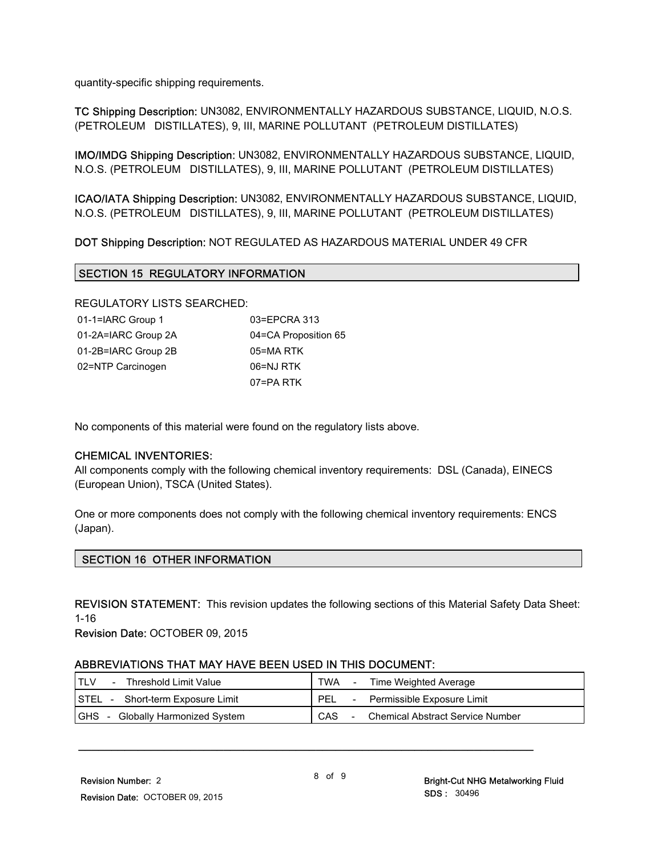quantity-specific shipping requirements.

TC Shipping Description: UN3082, ENVIRONMENTALLY HAZARDOUS SUBSTANCE, LIQUID, N.O.S. (PETROLEUM DISTILLATES), 9, III, MARINE POLLUTANT (PETROLEUM DISTILLATES)

IMO/IMDG Shipping Description: UN3082, ENVIRONMENTALLY HAZARDOUS SUBSTANCE, LIQUID, N.O.S. (PETROLEUM DISTILLATES), 9, III, MARINE POLLUTANT (PETROLEUM DISTILLATES)

ICAO/IATA Shipping Description: UN3082, ENVIRONMENTALLY HAZARDOUS SUBSTANCE, LIQUID, N.O.S. (PETROLEUM DISTILLATES), 9, III, MARINE POLLUTANT (PETROLEUM DISTILLATES)

DOT Shipping Description: NOT REGULATED AS HAZARDOUS MATERIAL UNDER 49 CFR

#### SECTION 15 REGULATORY INFORMATION

REGULATORY LISTS SEARCHED:

| 01-1=IARC Group 1   | 03=EPCRA 313         |
|---------------------|----------------------|
| 01-2A=IARC Group 2A | 04=CA Proposition 65 |
| 01-2B=IARC Group 2B | 05=MA RTK            |
| 02=NTP Carcinogen   | 06=NJ RTK            |
|                     | 07=PA RTK            |

No components of this material were found on the regulatory lists above.

#### CHEMICAL INVENTORIES:

All components comply with the following chemical inventory requirements: DSL (Canada), EINECS (European Union), TSCA (United States).

One or more components does not comply with the following chemical inventory requirements: ENCS (Japan).

#### SECTION 16 OTHER INFORMATION

REVISION STATEMENT: This revision updates the following sections of this Material Safety Data Sheet: 1-16

Revision Date: OCTOBER 09, 2015

#### ABBREVIATIONS THAT MAY HAVE BEEN USED IN THIS DOCUMENT:

| Threshold Limit Value                                        | <b>TWA</b><br>Time Weighted Average            |
|--------------------------------------------------------------|------------------------------------------------|
| <b>I</b> STEL<br>Short-term Exposure Limit<br>$\sim$ $ \sim$ | PEL<br>Permissible Exposure Limit              |
| <b>GHS</b><br>Globally Harmonized System                     | CAS<br><b>Chemical Abstract Service Number</b> |